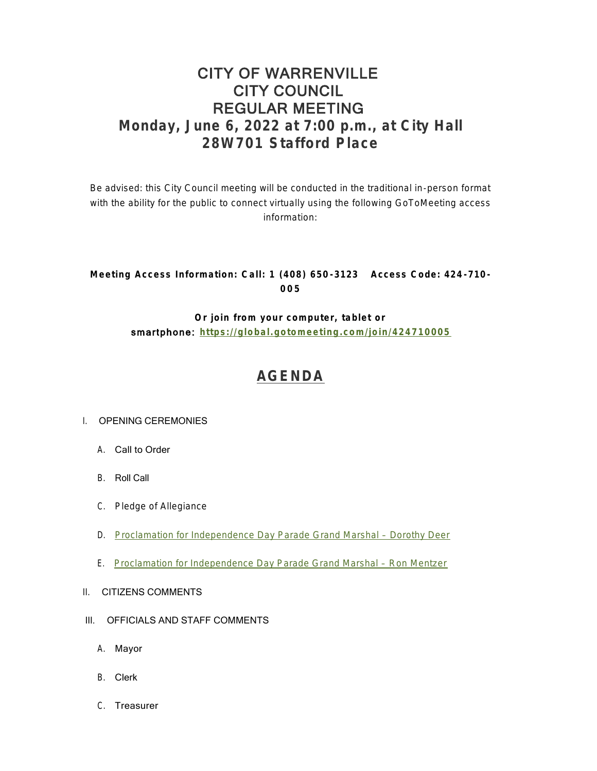# CITY OF WARRENVILLE CITY COUNCIL REGULAR MEETING **Monday, June 6, 2022 at 7:00 p.m., at City Hall 28W701 Stafford Place**

Be advised: this City Council meeting will be conducted in the traditional in-person format with the ability for the public to connect virtually using the following GoToMeeting access information:

### **Meeting Access Information: Call: 1 (408) 650 -3123 Access Code: 424 -710 - 005**

**Or join from your computer, tablet or**  smartphone: **<https://global.gotomeeting.com/join/424710005>**

# **[AGENDA](https://www.warrenville.il.us/DocumentCenter/View/19212/06-06-22-Agenda-Packet-PDF)**

#### I. OPENING CEREMONIES

- A. Call to Order
- B. Roll Call
- C. Pledge of Allegiance
- D. [Proclamation for Independence Day Parade Grand Marshal](https://www.warrenville.il.us/DocumentCenter/View/19215/ID-Proclamation---Parade-Marshal-2022---Dorothy-Deer-PDF)  Dorothy Deer
- E. [Proclamation for Independence Day Parade Grand Marshal](https://www.warrenville.il.us/DocumentCenter/View/19216/IE-Proclamation---Parade-Marshal-2022---Ron-Mentzer-PDF)  Ron Mentzer
- II. CITIZENS COMMENTS
- III. OFFICIALS AND STAFF COMMENTS
	- A. Mayor
	- B. Clerk
	- C. Treasurer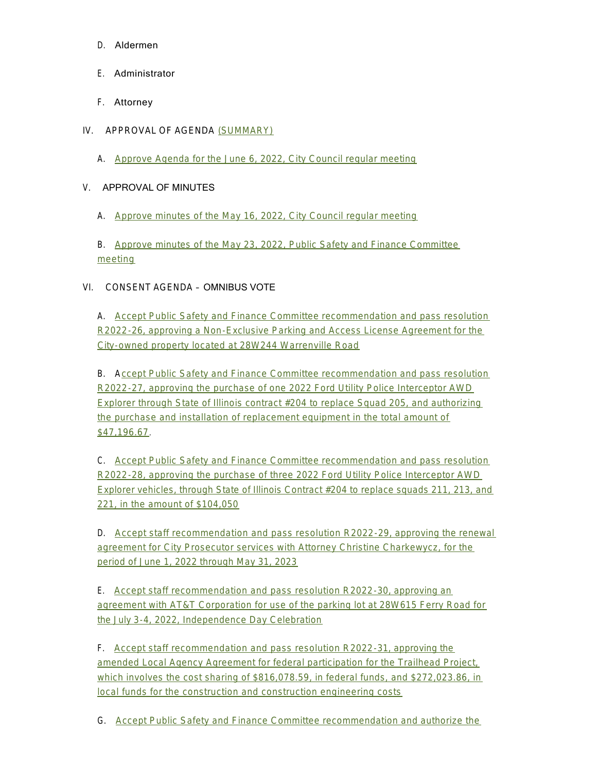- D. Aldermen
- E. Administrator
- F. Attorney
- IV. APPROVAL OF AGENDA [\(SUMMARY\)](https://www.warrenville.il.us/DocumentCenter/View/19214/06-06-22-Summary-PDF)
	- A. [Approve Agenda for the June 6, 2022, City Council regular meeting](https://www.warrenville.il.us/DocumentCenter/View/19213/06-06-22-Agenda-PDF)

#### V. APPROVAL OF MINUTES

A. [Approve minutes of the May 16, 2022, City Council regular meeting](https://www.warrenville.il.us/DocumentCenter/View/19217/VA-05-16-22-Regular-Council-Minutes-PDF)

B. [Approve minutes of the May 23, 2022, Public Safety and Finance Committee](https://www.warrenville.il.us/DocumentCenter/View/19218/VB-05-23-22-PS_F-Minutes-PDF)  meeting

### VI. CONSENT AGENDA – OMNIBUS VOTE

A. [Accept Public Safety and Finance Committee recommendation and pass resolution](https://www.warrenville.il.us/DocumentCenter/View/19219/VIA-R2022-26-Approving-Parking-and-Access-License-Agreement-with-Voegtles--PDF)  R2022-26, approving a Non-Exclusive Parking and Access License Agreement for the City-owned property located at 28W244 Warrenville Road

B. A[ccept Public Safety and Finance Committee recommendation and pass resolution](https://www.warrenville.il.us/DocumentCenter/View/19220/VIB-R2022-27-Approving-Purchase-of-Unmarked-Police-Vehicle--for-squad-205-PDF)  R2022-27, approving the purchase of one 2022 Ford Utility Police Interceptor AWD Explorer through State of Illinois contract #204 to replace Squad 205, and authorizing the purchase and installation of replacement equipment in the total amount of \$47,196.67.

C. Accept Public Safety and Finance Committee recommendation and pass resolution R2022-28, approving the purchase of three 2022 Ford Utility Police Interceptor AWD Exp[lorer vehicles, through State of Illinois Contract #204 to replace squads 211, 213, and](https://www.warrenville.il.us/DocumentCenter/View/19221/VIC-R2022-28-Approving-Purchase-of-3-Police-Squad-Vehicles-2022-PDF)  221, in the amount of \$104,050

D. [Accept staff recommendation and pass resolution R2022-29, approving the renewal](https://www.warrenville.il.us/DocumentCenter/View/19222/VID-R2022-29-Approving-Agreement-with-Christine-Charkewycz--PDF)  agreement for City Prosecutor services with Attorney Christine Charkewycz, for the period of June 1, 2022 through May 31, 2023

E. Accept staff recommendation and pass resolution R2022-30, approving an agr[eement with AT&T Corporation for use of the parking lot at 28W615 Ferry Road for](https://www.warrenville.il.us/DocumentCenter/View/19223/VIE-R2022-30-Agreement-with-ATT-for-July-3-4-Event-Parking-2022-PDF)  the July 3-4, 2022, Independence Day Celebration

F. Accept staff recommendation and pass resolution R2022-31, approving the amended Local Agency Agreement for federal participation for the Trailhead Project, whi[ch involves the cost sharing of \\$816,078.59, in federal funds, and \\$272,023.86, in](https://www.warrenville.il.us/DocumentCenter/View/19224/VIF-R2022-31-Amended-Local-Agency-Agreement-with-IDOT-for-Phase-III-Construction-Trailhead-Project-PDF)  local funds for the construction and construction engineering costs

G. Accept Public Safety and Finance Committee recommendation and authorize the